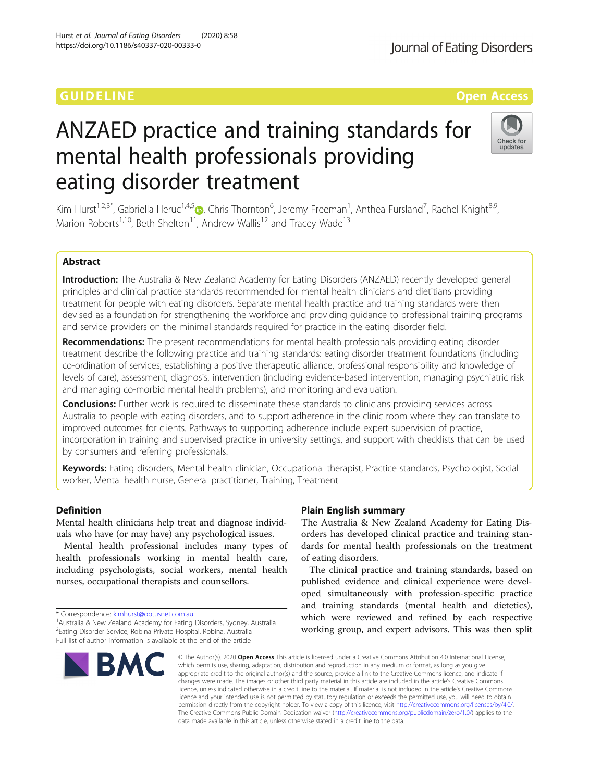# GUIDELINE CONTROL COMMUNICATION CONTROL CONTROL CONTROL CONTROL CONTROL CONTROL CONTROL CONTROL CONTROL CONTRO

# ANZAED practice and training standards for mental health professionals providing eating disorder treatment

Kim Hurst<sup>1[,](http://orcid.org/0000-0002-6257-6828)2,3\*</sup>, Gabriella Heruc<sup>1,4,5</sup>®, Chris Thornton<sup>6</sup>, Jeremy Freeman<sup>1</sup>, Anthea Fursland<sup>7</sup>, Rachel Knight<sup>8,9</sup>, Marion Roberts<sup>1,10</sup>, Beth Shelton<sup>11</sup>, Andrew Wallis<sup>12</sup> and Tracey Wade<sup>13</sup>

# Abstract

Introduction: The Australia & New Zealand Academy for Eating Disorders (ANZAED) recently developed general principles and clinical practice standards recommended for mental health clinicians and dietitians providing treatment for people with eating disorders. Separate mental health practice and training standards were then devised as a foundation for strengthening the workforce and providing guidance to professional training programs and service providers on the minimal standards required for practice in the eating disorder field.

Recommendations: The present recommendations for mental health professionals providing eating disorder treatment describe the following practice and training standards: eating disorder treatment foundations (including co-ordination of services, establishing a positive therapeutic alliance, professional responsibility and knowledge of levels of care), assessment, diagnosis, intervention (including evidence-based intervention, managing psychiatric risk and managing co-morbid mental health problems), and monitoring and evaluation.

**Conclusions:** Further work is required to disseminate these standards to clinicians providing services across Australia to people with eating disorders, and to support adherence in the clinic room where they can translate to improved outcomes for clients. Pathways to supporting adherence include expert supervision of practice, incorporation in training and supervised practice in university settings, and support with checklists that can be used by consumers and referring professionals.

Keywords: Eating disorders, Mental health clinician, Occupational therapist, Practice standards, Psychologist, Social worker, Mental health nurse, General practitioner, Training, Treatment

# Definition

Mental health clinicians help treat and diagnose individuals who have (or may have) any psychological issues.

Mental health professional includes many types of health professionals working in mental health care, including psychologists, social workers, mental health nurses, occupational therapists and counsellors.

# Plain English summary

The Australia & New Zealand Academy for Eating Disorders has developed clinical practice and training standards for mental health professionals on the treatment of eating disorders.

The clinical practice and training standards, based on published evidence and clinical experience were developed simultaneously with profession-specific practice and training standards (mental health and dietetics), which were reviewed and refined by each respective working group, and expert advisors. This was then split

© The Author(s), 2020 **Open Access** This article is licensed under a Creative Commons Attribution 4.0 International License, which permits use, sharing, adaptation, distribution and reproduction in any medium or format, as long as you give appropriate credit to the original author(s) and the source, provide a link to the Creative Commons licence, and indicate if changes were made. The images or other third party material in this article are included in the article's Creative Commons licence, unless indicated otherwise in a credit line to the material. If material is not included in the article's Creative Commons licence and your intended use is not permitted by statutory regulation or exceeds the permitted use, you will need to obtain permission directly from the copyright holder. To view a copy of this licence, visit [http://creativecommons.org/licenses/by/4.0/.](http://creativecommons.org/licenses/by/4.0/) The Creative Commons Public Domain Dedication waiver [\(http://creativecommons.org/publicdomain/zero/1.0/](http://creativecommons.org/publicdomain/zero/1.0/)) applies to the data made available in this article, unless otherwise stated in a credit line to the data.

Journal of Eating Disorders







undates

<sup>\*</sup> Correspondence: [kimhurst@optusnet.com.au](mailto:kimhurst@optusnet.com.au) <sup>1</sup>

<sup>&</sup>lt;sup>1</sup> Australia & New Zealand Academy for Eating Disorders, Sydney, Australia 2 Eating Disorder Service, Robina Private Hospital, Robina, Australia Full list of author information is available at the end of the article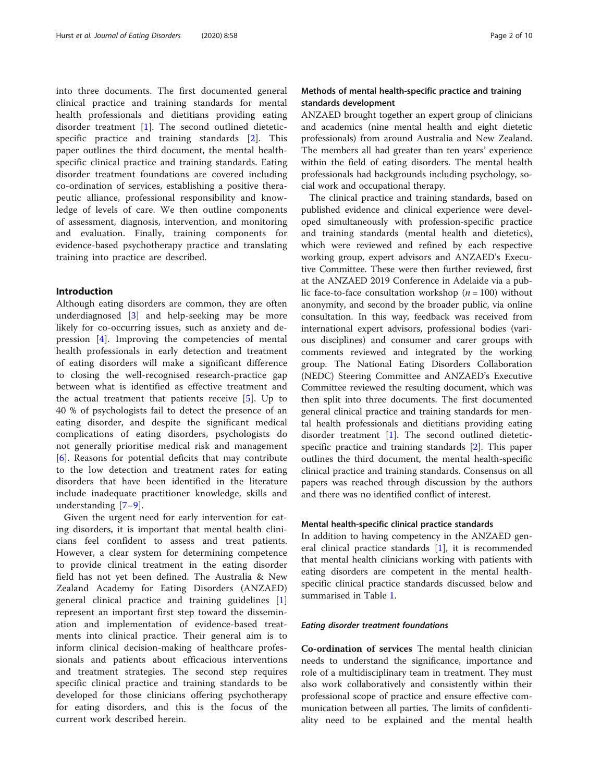into three documents. The first documented general clinical practice and training standards for mental health professionals and dietitians providing eating disorder treatment [\[1](#page-8-0)]. The second outlined dieteticspecific practice and training standards [\[2](#page-8-0)]. This paper outlines the third document, the mental healthspecific clinical practice and training standards. Eating disorder treatment foundations are covered including co-ordination of services, establishing a positive therapeutic alliance, professional responsibility and knowledge of levels of care. We then outline components of assessment, diagnosis, intervention, and monitoring and evaluation. Finally, training components for evidence-based psychotherapy practice and translating training into practice are described.

# Introduction

Although eating disorders are common, they are often underdiagnosed [[3\]](#page-8-0) and help-seeking may be more likely for co-occurring issues, such as anxiety and depression [[4\]](#page-8-0). Improving the competencies of mental health professionals in early detection and treatment of eating disorders will make a significant difference to closing the well-recognised research-practice gap between what is identified as effective treatment and the actual treatment that patients receive [[5\]](#page-8-0). Up to 40 % of psychologists fail to detect the presence of an eating disorder, and despite the significant medical complications of eating disorders, psychologists do not generally prioritise medical risk and management [[6\]](#page-8-0). Reasons for potential deficits that may contribute to the low detection and treatment rates for eating disorders that have been identified in the literature include inadequate practitioner knowledge, skills and understanding [[7](#page-8-0)–[9\]](#page-8-0).

Given the urgent need for early intervention for eating disorders, it is important that mental health clinicians feel confident to assess and treat patients. However, a clear system for determining competence to provide clinical treatment in the eating disorder field has not yet been defined. The Australia & New Zealand Academy for Eating Disorders (ANZAED) general clinical practice and training guidelines [\[1](#page-8-0)] represent an important first step toward the dissemination and implementation of evidence-based treatments into clinical practice. Their general aim is to inform clinical decision-making of healthcare professionals and patients about efficacious interventions and treatment strategies. The second step requires specific clinical practice and training standards to be developed for those clinicians offering psychotherapy for eating disorders, and this is the focus of the current work described herein.

# Methods of mental health-specific practice and training standards development

ANZAED brought together an expert group of clinicians and academics (nine mental health and eight dietetic professionals) from around Australia and New Zealand. The members all had greater than ten years' experience within the field of eating disorders. The mental health professionals had backgrounds including psychology, social work and occupational therapy.

The clinical practice and training standards, based on published evidence and clinical experience were developed simultaneously with profession-specific practice and training standards (mental health and dietetics), which were reviewed and refined by each respective working group, expert advisors and ANZAED's Executive Committee. These were then further reviewed, first at the ANZAED 2019 Conference in Adelaide via a public face-to-face consultation workshop ( $n = 100$ ) without anonymity, and second by the broader public, via online consultation. In this way, feedback was received from international expert advisors, professional bodies (various disciplines) and consumer and carer groups with comments reviewed and integrated by the working group. The National Eating Disorders Collaboration (NEDC) Steering Committee and ANZAED's Executive Committee reviewed the resulting document, which was then split into three documents. The first documented general clinical practice and training standards for mental health professionals and dietitians providing eating disorder treatment [\[1](#page-8-0)]. The second outlined dieteticspecific practice and training standards [\[2](#page-8-0)]. This paper outlines the third document, the mental health-specific clinical practice and training standards. Consensus on all papers was reached through discussion by the authors and there was no identified conflict of interest.

# Mental health-specific clinical practice standards

In addition to having competency in the ANZAED general clinical practice standards [[1\]](#page-8-0), it is recommended that mental health clinicians working with patients with eating disorders are competent in the mental healthspecific clinical practice standards discussed below and summarised in Table [1.](#page-2-0)

#### Eating disorder treatment foundations

Co-ordination of services The mental health clinician needs to understand the significance, importance and role of a multidisciplinary team in treatment. They must also work collaboratively and consistently within their professional scope of practice and ensure effective communication between all parties. The limits of confidentiality need to be explained and the mental health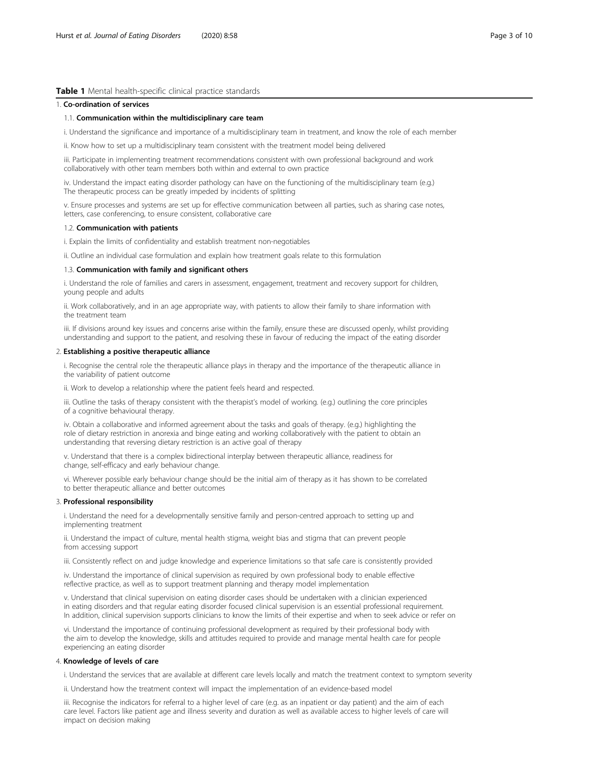#### <span id="page-2-0"></span>Table 1 Mental health-specific clinical practice standards

#### 1. Co-ordination of services

#### 1.1. Communication within the multidisciplinary care team

i. Understand the significance and importance of a multidisciplinary team in treatment, and know the role of each member

ii. Know how to set up a multidisciplinary team consistent with the treatment model being delivered

iii. Participate in implementing treatment recommendations consistent with own professional background and work collaboratively with other team members both within and external to own practice

iv. Understand the impact eating disorder pathology can have on the functioning of the multidisciplinary team (e.g.) The therapeutic process can be greatly impeded by incidents of splitting

v. Ensure processes and systems are set up for effective communication between all parties, such as sharing case notes, letters, case conferencing, to ensure consistent, collaborative care

#### 1.2. Communication with patients

i. Explain the limits of confidentiality and establish treatment non-negotiables

ii. Outline an individual case formulation and explain how treatment goals relate to this formulation

#### 1.3. Communication with family and significant others

i. Understand the role of families and carers in assessment, engagement, treatment and recovery support for children, young people and adults

ii. Work collaboratively, and in an age appropriate way, with patients to allow their family to share information with the treatment team

iii. If divisions around key issues and concerns arise within the family, ensure these are discussed openly, whilst providing understanding and support to the patient, and resolving these in favour of reducing the impact of the eating disorder

#### 2. Establishing a positive therapeutic alliance

i. Recognise the central role the therapeutic alliance plays in therapy and the importance of the therapeutic alliance in the variability of patient outcome

ii. Work to develop a relationship where the patient feels heard and respected.

iii. Outline the tasks of therapy consistent with the therapist's model of working. (e.g.) outlining the core principles of a cognitive behavioural therapy.

iv. Obtain a collaborative and informed agreement about the tasks and goals of therapy. (e.g.) highlighting the role of dietary restriction in anorexia and binge eating and working collaboratively with the patient to obtain an understanding that reversing dietary restriction is an active goal of therapy

v. Understand that there is a complex bidirectional interplay between therapeutic alliance, readiness for change, self-efficacy and early behaviour change.

vi. Wherever possible early behaviour change should be the initial aim of therapy as it has shown to be correlated to better therapeutic alliance and better outcomes

#### 3. Professional responsibility

i. Understand the need for a developmentally sensitive family and person-centred approach to setting up and implementing treatment

ii. Understand the impact of culture, mental health stigma, weight bias and stigma that can prevent people from accessing support

iii. Consistently reflect on and judge knowledge and experience limitations so that safe care is consistently provided

iv. Understand the importance of clinical supervision as required by own professional body to enable effective reflective practice, as well as to support treatment planning and therapy model implementation

v. Understand that clinical supervision on eating disorder cases should be undertaken with a clinician experienced in eating disorders and that regular eating disorder focused clinical supervision is an essential professional requirement. In addition, clinical supervision supports clinicians to know the limits of their expertise and when to seek advice or refer on

vi. Understand the importance of continuing professional development as required by their professional body with the aim to develop the knowledge, skills and attitudes required to provide and manage mental health care for people experiencing an eating disorder

#### 4. Knowledge of levels of care

i. Understand the services that are available at different care levels locally and match the treatment context to symptom severity

ii. Understand how the treatment context will impact the implementation of an evidence-based model

iii. Recognise the indicators for referral to a higher level of care (e.g. as an inpatient or day patient) and the aim of each care level. Factors like patient age and illness severity and duration as well as available access to higher levels of care will impact on decision making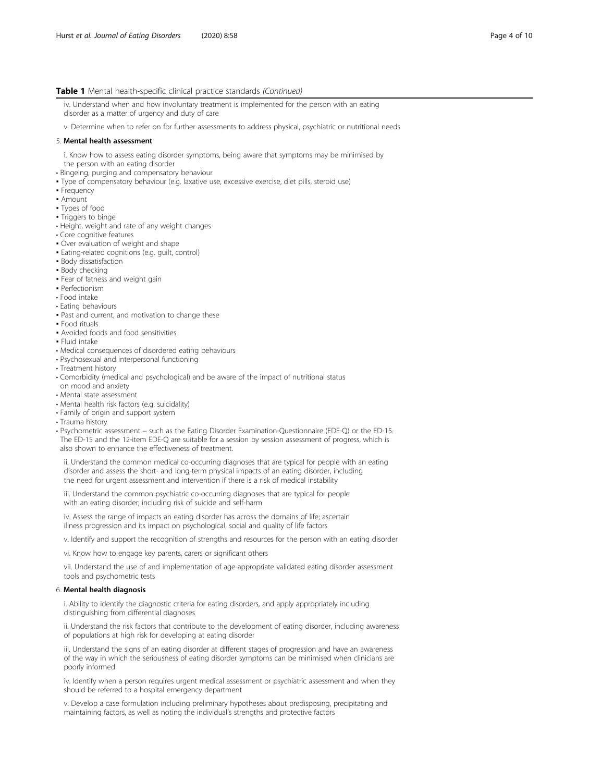## Table 1 Mental health-specific clinical practice standards (Continued)

iv. Understand when and how involuntary treatment is implemented for the person with an eating disorder as a matter of urgency and duty of care

v. Determine when to refer on for further assessments to address physical, psychiatric or nutritional needs

#### 5. Mental health assessment

i. Know how to assess eating disorder symptoms, being aware that symptoms may be minimised by the person with an eating disorder

- Bingeing, purging and compensatory behaviour
- Type of compensatory behaviour (e.g. laxative use, excessive exercise, diet pills, steroid use)
- Frequency
- Amount
- Types of food
- Triggers to binge
- Height, weight and rate of any weight changes
- Core cognitive features
- Over evaluation of weight and shape
- **Eating-related cognitions (e.g. guilt, control)**
- **Body dissatisfaction**
- **Body checking**
- Fear of fatness and weight gain
- Perfectionism
- Food intake
- Eating behaviours
- Past and current, and motivation to change these
- Food rituals
- Avoided foods and food sensitivities
- Fluid intake
- Medical consequences of disordered eating behaviours
- Psychosexual and interpersonal functioning
- Treatment history
- Comorbidity (medical and psychological) and be aware of the impact of nutritional status on mood and anxiety
- Mental state assessment
- Mental health risk factors (e.g. suicidality)
- Family of origin and support system
- Trauma history

• Psychometric assessment – such as the Eating Disorder Examination-Questionnaire (EDE-Q) or the ED-15. The ED-15 and the 12-item EDE-Q are suitable for a session by session assessment of progress, which is also shown to enhance the effectiveness of treatment.

ii. Understand the common medical co-occurring diagnoses that are typical for people with an eating disorder and assess the short- and long-term physical impacts of an eating disorder, including the need for urgent assessment and intervention if there is a risk of medical instability

iii. Understand the common psychiatric co-occurring diagnoses that are typical for people with an eating disorder; including risk of suicide and self-harm

iv. Assess the range of impacts an eating disorder has across the domains of life; ascertain illness progression and its impact on psychological, social and quality of life factors

v. Identify and support the recognition of strengths and resources for the person with an eating disorder

vi. Know how to engage key parents, carers or significant others

vii. Understand the use of and implementation of age-appropriate validated eating disorder assessment tools and psychometric tests

### 6. Mental health diagnosis

i. Ability to identify the diagnostic criteria for eating disorders, and apply appropriately including distinguishing from differential diagnoses

ii. Understand the risk factors that contribute to the development of eating disorder, including awareness of populations at high risk for developing at eating disorder

iii. Understand the signs of an eating disorder at different stages of progression and have an awareness of the way in which the seriousness of eating disorder symptoms can be minimised when clinicians are poorly informed

iv. Identify when a person requires urgent medical assessment or psychiatric assessment and when they should be referred to a hospital emergency department

v. Develop a case formulation including preliminary hypotheses about predisposing, precipitating and maintaining factors, as well as noting the individual's strengths and protective factors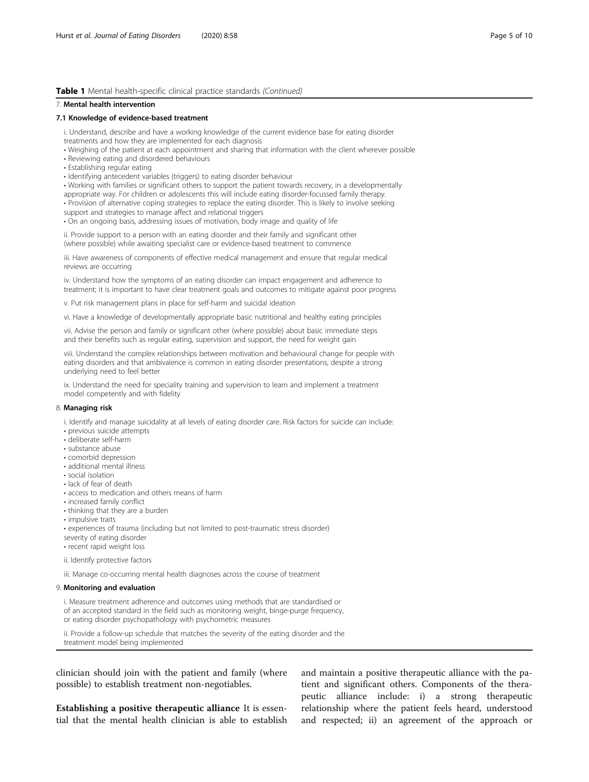#### Table 1 Mental health-specific clinical practice standards (Continued)

#### 7. Mental health intervention

#### 7.1 Knowledge of evidence-based treatment

i. Understand, describe and have a working knowledge of the current evidence base for eating disorder treatments and how they are implemented for each diagnosis

- Weighing of the patient at each appointment and sharing that information with the client wherever possible
- Reviewing eating and disordered behaviours
- Establishing regular eating

• Identifying antecedent variables (triggers) to eating disorder behaviour

• Working with families or significant others to support the patient towards recovery, in a developmentally

appropriate way. For children or adolescents this will include eating disorder-focussed family therapy. • Provision of alternative coping strategies to replace the eating disorder. This is likely to involve seeking

support and strategies to manage affect and relational triggers

• On an ongoing basis, addressing issues of motivation, body image and quality of life

ii. Provide support to a person with an eating disorder and their family and significant other (where possible) while awaiting specialist care or evidence-based treatment to commence

iii. Have awareness of components of effective medical management and ensure that regular medical reviews are occurring

iv. Understand how the symptoms of an eating disorder can impact engagement and adherence to treatment; it is important to have clear treatment goals and outcomes to mitigate against poor progress

v. Put risk management plans in place for self-harm and suicidal ideation

vi. Have a knowledge of developmentally appropriate basic nutritional and healthy eating principles

vii. Advise the person and family or significant other (where possible) about basic immediate steps and their benefits such as regular eating, supervision and support, the need for weight gain

viii. Understand the complex relationships between motivation and behavioural change for people with eating disorders and that ambivalence is common in eating disorder presentations, despite a strong underlying need to feel better

ix. Understand the need for speciality training and supervision to learn and implement a treatment model competently and with fidelity

#### 8. Managing risk

i. Identify and manage suicidality at all levels of eating disorder care. Risk factors for suicide can include:

- previous suicide attempts
- deliberate self-harm
- substance abuse
- comorbid depression
- additional mental illness
- social isolation
- lack of fear of death
- access to medication and others means of harm
- increased family conflict
- thinking that they are a burden
- impulsive traits
- experiences of trauma (including but not limited to post-traumatic stress disorder)
- severity of eating disorder
- recent rapid weight loss
- ii. Identify protective factors

iii. Manage co-occurring mental health diagnoses across the course of treatment

#### 9. Monitoring and evaluation

i. Measure treatment adherence and outcomes using methods that are standardised or of an accepted standard in the field such as monitoring weight, binge-purge frequency, or eating disorder psychopathology with psychometric measures

ii. Provide a follow-up schedule that matches the severity of the eating disorder and the treatment model being implemented

clinician should join with the patient and family (where possible) to establish treatment non-negotiables.

Establishing a positive therapeutic alliance It is essential that the mental health clinician is able to establish

and maintain a positive therapeutic alliance with the patient and significant others. Components of the therapeutic alliance include: i) a strong therapeutic relationship where the patient feels heard, understood and respected; ii) an agreement of the approach or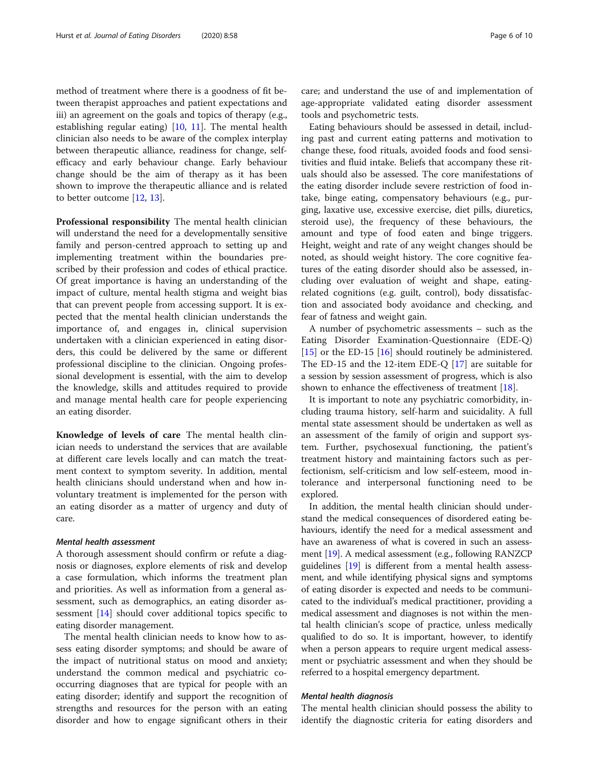method of treatment where there is a goodness of fit between therapist approaches and patient expectations and iii) an agreement on the goals and topics of therapy (e.g., establishing regular eating) [[10,](#page-8-0) [11\]](#page-8-0). The mental health clinician also needs to be aware of the complex interplay between therapeutic alliance, readiness for change, selfefficacy and early behaviour change. Early behaviour change should be the aim of therapy as it has been shown to improve the therapeutic alliance and is related to better outcome [[12](#page-8-0), [13](#page-8-0)].

Professional responsibility The mental health clinician will understand the need for a developmentally sensitive family and person-centred approach to setting up and implementing treatment within the boundaries prescribed by their profession and codes of ethical practice. Of great importance is having an understanding of the impact of culture, mental health stigma and weight bias that can prevent people from accessing support. It is expected that the mental health clinician understands the importance of, and engages in, clinical supervision undertaken with a clinician experienced in eating disorders, this could be delivered by the same or different professional discipline to the clinician. Ongoing professional development is essential, with the aim to develop the knowledge, skills and attitudes required to provide and manage mental health care for people experiencing an eating disorder.

Knowledge of levels of care The mental health clinician needs to understand the services that are available at different care levels locally and can match the treatment context to symptom severity. In addition, mental health clinicians should understand when and how involuntary treatment is implemented for the person with an eating disorder as a matter of urgency and duty of care.

#### Mental health assessment

A thorough assessment should confirm or refute a diagnosis or diagnoses, explore elements of risk and develop a case formulation, which informs the treatment plan and priorities. As well as information from a general assessment, such as demographics, an eating disorder assessment [[14\]](#page-8-0) should cover additional topics specific to eating disorder management.

The mental health clinician needs to know how to assess eating disorder symptoms; and should be aware of the impact of nutritional status on mood and anxiety; understand the common medical and psychiatric cooccurring diagnoses that are typical for people with an eating disorder; identify and support the recognition of strengths and resources for the person with an eating disorder and how to engage significant others in their care; and understand the use of and implementation of age-appropriate validated eating disorder assessment tools and psychometric tests.

Eating behaviours should be assessed in detail, including past and current eating patterns and motivation to change these, food rituals, avoided foods and food sensitivities and fluid intake. Beliefs that accompany these rituals should also be assessed. The core manifestations of the eating disorder include severe restriction of food intake, binge eating, compensatory behaviours (e.g., purging, laxative use, excessive exercise, diet pills, diuretics, steroid use), the frequency of these behaviours, the amount and type of food eaten and binge triggers. Height, weight and rate of any weight changes should be noted, as should weight history. The core cognitive features of the eating disorder should also be assessed, including over evaluation of weight and shape, eatingrelated cognitions (e.g. guilt, control), body dissatisfaction and associated body avoidance and checking, and fear of fatness and weight gain.

A number of psychometric assessments – such as the Eating Disorder Examination-Questionnaire (EDE-Q) [[15\]](#page-8-0) or the ED-15 [\[16](#page-8-0)] should routinely be administered. The ED-15 and the 12-item EDE-Q [[17\]](#page-8-0) are suitable for a session by session assessment of progress, which is also shown to enhance the effectiveness of treatment [[18\]](#page-8-0).

It is important to note any psychiatric comorbidity, including trauma history, self-harm and suicidality. A full mental state assessment should be undertaken as well as an assessment of the family of origin and support system. Further, psychosexual functioning, the patient's treatment history and maintaining factors such as perfectionism, self-criticism and low self-esteem, mood intolerance and interpersonal functioning need to be explored.

In addition, the mental health clinician should understand the medical consequences of disordered eating behaviours, identify the need for a medical assessment and have an awareness of what is covered in such an assessment [\[19](#page-8-0)]. A medical assessment (e.g., following RANZCP guidelines [\[19\]](#page-8-0) is different from a mental health assessment, and while identifying physical signs and symptoms of eating disorder is expected and needs to be communicated to the individual's medical practitioner, providing a medical assessment and diagnoses is not within the mental health clinician's scope of practice, unless medically qualified to do so. It is important, however, to identify when a person appears to require urgent medical assessment or psychiatric assessment and when they should be referred to a hospital emergency department.

#### Mental health diagnosis

The mental health clinician should possess the ability to identify the diagnostic criteria for eating disorders and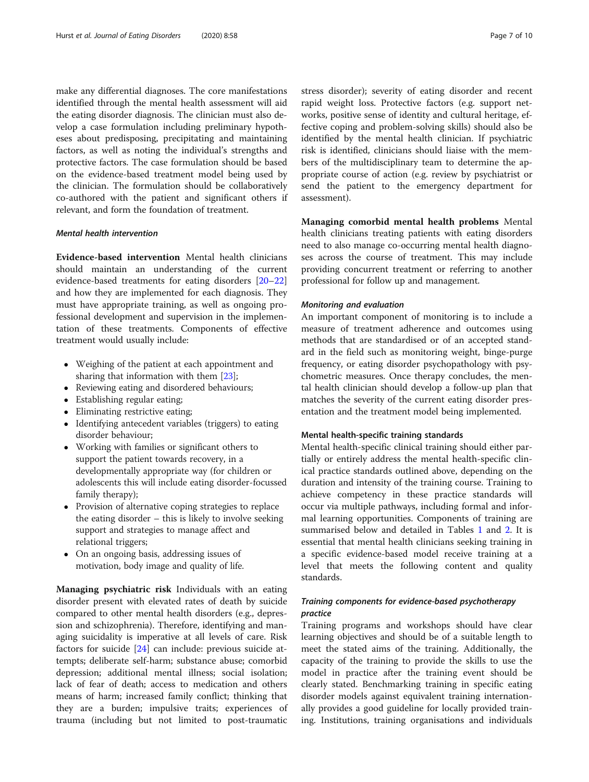make any differential diagnoses. The core manifestations identified through the mental health assessment will aid the eating disorder diagnosis. The clinician must also develop a case formulation including preliminary hypotheses about predisposing, precipitating and maintaining factors, as well as noting the individual's strengths and protective factors. The case formulation should be based on the evidence-based treatment model being used by the clinician. The formulation should be collaboratively co-authored with the patient and significant others if relevant, and form the foundation of treatment.

### Mental health intervention

Evidence-based intervention Mental health clinicians should maintain an understanding of the current evidence-based treatments for eating disorders [[20](#page-8-0)–[22](#page-8-0)] and how they are implemented for each diagnosis. They must have appropriate training, as well as ongoing professional development and supervision in the implementation of these treatments. Components of effective treatment would usually include:

- Weighing of the patient at each appointment and sharing that information with them [\[23\]](#page-9-0);
- Reviewing eating and disordered behaviours;
- Establishing regular eating;
- Eliminating restrictive eating;
- Identifying antecedent variables (triggers) to eating disorder behaviour;
- Working with families or significant others to support the patient towards recovery, in a developmentally appropriate way (for children or adolescents this will include eating disorder-focussed family therapy);
- Provision of alternative coping strategies to replace the eating disorder – this is likely to involve seeking support and strategies to manage affect and relational triggers;
- On an ongoing basis, addressing issues of motivation, body image and quality of life.

Managing psychiatric risk Individuals with an eating disorder present with elevated rates of death by suicide compared to other mental health disorders (e.g., depression and schizophrenia). Therefore, identifying and managing suicidality is imperative at all levels of care. Risk factors for suicide [[24](#page-9-0)] can include: previous suicide attempts; deliberate self-harm; substance abuse; comorbid depression; additional mental illness; social isolation; lack of fear of death; access to medication and others means of harm; increased family conflict; thinking that they are a burden; impulsive traits; experiences of trauma (including but not limited to post-traumatic stress disorder); severity of eating disorder and recent rapid weight loss. Protective factors (e.g. support networks, positive sense of identity and cultural heritage, effective coping and problem-solving skills) should also be identified by the mental health clinician. If psychiatric risk is identified, clinicians should liaise with the members of the multidisciplinary team to determine the appropriate course of action (e.g. review by psychiatrist or send the patient to the emergency department for assessment).

Managing comorbid mental health problems Mental health clinicians treating patients with eating disorders need to also manage co-occurring mental health diagnoses across the course of treatment. This may include providing concurrent treatment or referring to another professional for follow up and management.

#### Monitoring and evaluation

An important component of monitoring is to include a measure of treatment adherence and outcomes using methods that are standardised or of an accepted standard in the field such as monitoring weight, binge-purge frequency, or eating disorder psychopathology with psychometric measures. Once therapy concludes, the mental health clinician should develop a follow-up plan that matches the severity of the current eating disorder presentation and the treatment model being implemented.

#### Mental health-specific training standards

Mental health-specific clinical training should either partially or entirely address the mental health-specific clinical practice standards outlined above, depending on the duration and intensity of the training course. Training to achieve competency in these practice standards will occur via multiple pathways, including formal and informal learning opportunities. Components of training are summarised below and detailed in Tables [1](#page-2-0) and [2.](#page-7-0) It is essential that mental health clinicians seeking training in a specific evidence-based model receive training at a level that meets the following content and quality standards.

# Training components for evidence-based psychotherapy practice

Training programs and workshops should have clear learning objectives and should be of a suitable length to meet the stated aims of the training. Additionally, the capacity of the training to provide the skills to use the model in practice after the training event should be clearly stated. Benchmarking training in specific eating disorder models against equivalent training internationally provides a good guideline for locally provided training. Institutions, training organisations and individuals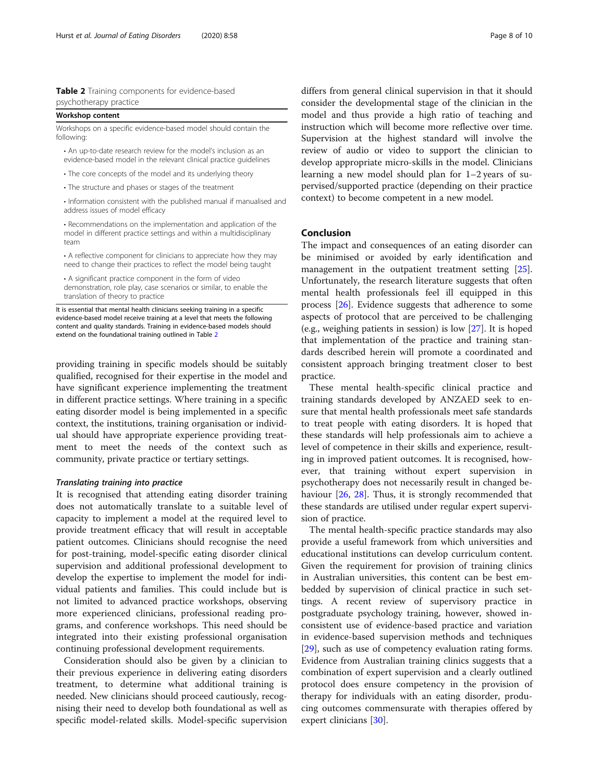#### <span id="page-7-0"></span>Table 2 Training components for evidence-based psychotherapy practice

#### Workshop content

Workshops on a specific evidence-based model should contain the following:

- An up-to-date research review for the model's inclusion as an evidence-based model in the relevant clinical practice guidelines
- The core concepts of the model and its underlying theory
- The structure and phases or stages of the treatment
- Information consistent with the published manual if manualised and address issues of model efficacy
- Recommendations on the implementation and application of the model in different practice settings and within a multidisciplinary team
- A reflective component for clinicians to appreciate how they may need to change their practices to reflect the model being taught

• A significant practice component in the form of video demonstration, role play, case scenarios or similar, to enable the translation of theory to practice

It is essential that mental health clinicians seeking training in a specific evidence-based model receive training at a level that meets the following content and quality standards. Training in evidence-based models should extend on the foundational training outlined in Table 2

providing training in specific models should be suitably qualified, recognised for their expertise in the model and have significant experience implementing the treatment in different practice settings. Where training in a specific eating disorder model is being implemented in a specific context, the institutions, training organisation or individual should have appropriate experience providing treatment to meet the needs of the context such as community, private practice or tertiary settings.

#### Translating training into practice

It is recognised that attending eating disorder training does not automatically translate to a suitable level of capacity to implement a model at the required level to provide treatment efficacy that will result in acceptable patient outcomes. Clinicians should recognise the need for post-training, model-specific eating disorder clinical supervision and additional professional development to develop the expertise to implement the model for individual patients and families. This could include but is not limited to advanced practice workshops, observing more experienced clinicians, professional reading programs, and conference workshops. This need should be integrated into their existing professional organisation continuing professional development requirements.

Consideration should also be given by a clinician to their previous experience in delivering eating disorders treatment, to determine what additional training is needed. New clinicians should proceed cautiously, recognising their need to develop both foundational as well as specific model-related skills. Model-specific supervision differs from general clinical supervision in that it should consider the developmental stage of the clinician in the model and thus provide a high ratio of teaching and instruction which will become more reflective over time. Supervision at the highest standard will involve the review of audio or video to support the clinician to develop appropriate micro-skills in the model. Clinicians learning a new model should plan for 1–2 years of supervised/supported practice (depending on their practice context) to become competent in a new model.

# Conclusion

The impact and consequences of an eating disorder can be minimised or avoided by early identification and management in the outpatient treatment setting [\[25](#page-9-0)]. Unfortunately, the research literature suggests that often mental health professionals feel ill equipped in this process [\[26](#page-9-0)]. Evidence suggests that adherence to some aspects of protocol that are perceived to be challenging (e.g., weighing patients in session) is low [[27](#page-9-0)]. It is hoped that implementation of the practice and training standards described herein will promote a coordinated and consistent approach bringing treatment closer to best practice.

These mental health-specific clinical practice and training standards developed by ANZAED seek to ensure that mental health professionals meet safe standards to treat people with eating disorders. It is hoped that these standards will help professionals aim to achieve a level of competence in their skills and experience, resulting in improved patient outcomes. It is recognised, however, that training without expert supervision in psychotherapy does not necessarily result in changed be-haviour [[26](#page-9-0), [28](#page-9-0)]. Thus, it is strongly recommended that these standards are utilised under regular expert supervision of practice.

The mental health-specific practice standards may also provide a useful framework from which universities and educational institutions can develop curriculum content. Given the requirement for provision of training clinics in Australian universities, this content can be best embedded by supervision of clinical practice in such settings. A recent review of supervisory practice in postgraduate psychology training, however, showed inconsistent use of evidence-based practice and variation in evidence-based supervision methods and techniques [[29\]](#page-9-0), such as use of competency evaluation rating forms. Evidence from Australian training clinics suggests that a combination of expert supervision and a clearly outlined protocol does ensure competency in the provision of therapy for individuals with an eating disorder, producing outcomes commensurate with therapies offered by expert clinicians [\[30](#page-9-0)].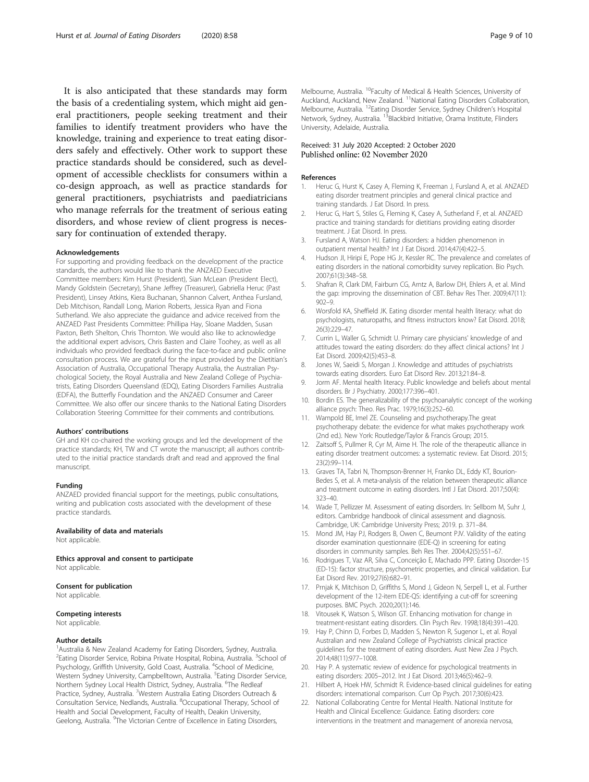<span id="page-8-0"></span>It is also anticipated that these standards may form the basis of a credentialing system, which might aid general practitioners, people seeking treatment and their families to identify treatment providers who have the knowledge, training and experience to treat eating disorders safely and effectively. Other work to support these practice standards should be considered, such as development of accessible checklists for consumers within a co-design approach, as well as practice standards for general practitioners, psychiatrists and paediatricians who manage referrals for the treatment of serious eating disorders, and whose review of client progress is necessary for continuation of extended therapy.

#### Acknowledgements

For supporting and providing feedback on the development of the practice standards, the authors would like to thank the ANZAED Executive Committee members: Kim Hurst (President), Sian McLean (President Elect), Mandy Goldstein (Secretary), Shane Jeffrey (Treasurer), Gabriella Heruc (Past President), Linsey Atkins, Kiera Buchanan, Shannon Calvert, Anthea Fursland, Deb Mitchison, Randall Long, Marion Roberts, Jessica Ryan and Fiona Sutherland. We also appreciate the guidance and advice received from the ANZAED Past Presidents Committee: Phillipa Hay, Sloane Madden, Susan Paxton, Beth Shelton, Chris Thornton. We would also like to acknowledge the additional expert advisors, Chris Basten and Claire Toohey, as well as all individuals who provided feedback during the face-to-face and public online consultation process. We are grateful for the input provided by the Dietitian's Association of Australia, Occupational Therapy Australia, the Australian Psychological Society, the Royal Australia and New Zealand College of Psychiatrists, Eating Disorders Queensland (EDQ), Eating Disorders Families Australia (EDFA), the Butterfly Foundation and the ANZAED Consumer and Career Committee. We also offer our sincere thanks to the National Eating Disorders Collaboration Steering Committee for their comments and contributions.

#### Authors' contributions

GH and KH co-chaired the working groups and led the development of the practice standards; KH, TW and CT wrote the manuscript; all authors contributed to the initial practice standards draft and read and approved the final manuscript.

#### Funding

ANZAED provided financial support for the meetings, public consultations, writing and publication costs associated with the development of these practice standards.

#### Availability of data and materials

Not applicable.

Ethics approval and consent to participate Not applicable.

#### Consent for publication

Not applicable.

#### Competing interests

Not applicable.

#### Author details

<sup>1</sup> Australia & New Zealand Academy for Eating Disorders, Sydney, Australia. <sup>2</sup>Eating Disorder Service, Robina Private Hospital, Robina, Australia. <sup>3</sup>School of Psychology, Griffith University, Gold Coast, Australia. <sup>4</sup>School of Medicine,<br>Western Sydney University, Campbelltown, Australia. <sup>5</sup>Eating Disorder Service, Northern Sydney Local Health District, Sydney, Australia. <sup>6</sup>The Redleaf Practice, Sydney, Australia. <sup>7</sup>Western Australia Eating Disorders Outreach & Consultation Service, Nedlands, Australia. <sup>8</sup>Occupational Therapy, School of Health and Social Development, Faculty of Health, Deakin University, Geelong, Australia. <sup>9</sup>The Victorian Centre of Excellence in Eating Disorders,

Melbourne, Australia. <sup>10</sup>Faculty of Medical & Health Sciences, University of Auckland, Auckland, New Zealand. 11National Eating Disorders Collaboration, Melbourne, Australia. <sup>12</sup>Eating Disorder Service, Sydney Children's Hospital Network, Sydney, Australia. <sup>13</sup>Blackbird Initiative, Órama Institute, Flinders University, Adelaide, Australia.

#### Received: 31 July 2020 Accepted: 2 October 2020 Published online: 02 November 2020

#### References

- Heruc G, Hurst K, Casey A, Fleming K, Freeman J, Fursland A, et al. ANZAED eating disorder treatment principles and general clinical practice and training standards. J Eat Disord. In press.
- 2. Heruc G, Hart S, Stiles G, Fleming K, Casey A, Sutherland F, et al. ANZAED practice and training standards for dietitians providing eating disorder treatment. J Eat Disord. In press.
- 3. Fursland A, Watson HJ. Eating disorders: a hidden phenomenon in outpatient mental health? Int J Eat Disord. 2014;47(4):422–5.
- 4. Hudson JI, Hiripi E, Pope HG Jr, Kessler RC. The prevalence and correlates of eating disorders in the national comorbidity survey replication. Bio Psych. 2007;61(3):348–58.
- 5. Shafran R, Clark DM, Fairburn CG, Arntz A, Barlow DH, Ehlers A, et al. Mind the gap: improving the dissemination of CBT. Behav Res Ther. 2009;47(11): 902–9.
- 6. Worsfold KA, Sheffield JK. Eating disorder mental health literacy: what do psychologists, naturopaths, and fitness instructors know? Eat Disord. 2018; 26(3):229–47.
- 7. Currin L, Waller G, Schmidt U. Primary care physicians' knowledge of and attitudes toward the eating disorders: do they affect clinical actions? Int J Eat Disord. 2009;42(5):453–8.
- 8. Jones W, Saeidi S, Morgan J. Knowledge and attitudes of psychiatrists towards eating disorders. Euro Eat Disord Rev. 2013;21:84–8.
- 9. Jorm AF. Mental health literacy. Public knowledge and beliefs about mental disorders. Br J Psychiatry. 2000;177:396–401.
- 10. Bordin ES. The generalizability of the psychoanalytic concept of the working alliance psych: Theo. Res Prac. 1979;16(3):252–60.
- 11. Wampold BE, Imel ZE. Counseling and psychotherapy.The great psychotherapy debate: the evidence for what makes psychotherapy work (2nd ed.). New York: Routledge/Taylor & Francis Group; 2015.
- 12. Zaitsoff S, Pullmer R, Cyr M, Aime H. The role of the therapeutic alliance in eating disorder treatment outcomes: a systematic review. Eat Disord. 2015; 23(2):99–114.
- 13. Graves TA, Tabri N, Thompson-Brenner H, Franko DL, Eddy KT, Bourion-Bedes S, et al. A meta-analysis of the relation between therapeutic alliance and treatment outcome in eating disorders. Intl J Eat Disord. 2017;50(4): 323–40.
- 14. Wade T, Pellizzer M. Assessment of eating disorders. In: Sellbom M, Suhr J, editors. Cambridge handbook of clinical assessment and diagnosis. Cambridge, UK: Cambridge University Press; 2019. p. 371–84.
- 15. Mond JM, Hay PJ, Rodgers B, Owen C, Beumont PJV. Validity of the eating disorder examination questionnaire (EDE-Q) in screening for eating disorders in community samples. Beh Res Ther. 2004;42(5):551–67.
- 16. Rodrigues T, Vaz AR, Silva C, Conceição E, Machado PPP. Eating Disorder-15 (ED-15): factor structure, psychometric properties, and clinical validation. Eur Eat Disord Rev. 2019;27(6):682–91.
- 17. Prnjak K, Mitchison D, Griffiths S, Mond J, Gideon N, Serpell L, et al. Further development of the 12-item EDE-QS: identifying a cut-off for screening purposes. BMC Psych. 2020;20(1):146.
- 18. Vitousek K, Watson S, Wilson GT. Enhancing motivation for change in treatment-resistant eating disorders. Clin Psych Rev. 1998;18(4):391–420.
- 19. Hay P, Chinn D, Forbes D, Madden S, Newton R, Sugenor L, et al. Royal Australian and new Zealand College of Psychiatrists clinical practice guidelines for the treatment of eating disorders. Aust New Zea J Psych. 2014;48(11):977–1008.
- 20. Hay P. A systematic review of evidence for psychological treatments in eating disorders: 2005–2012. Int J Eat Disord. 2013;46(5):462–9.
- 21. Hilbert A, Hoek HW, Schmidt R. Evidence-based clinical guidelines for eating disorders: international comparison. Curr Op Psych. 2017;30(6):423.
- 22. National Collaborating Centre for Mental Health. National Institute for Health and Clinical Excellence: Guidance. Eating disorders: core interventions in the treatment and management of anorexia nervosa,